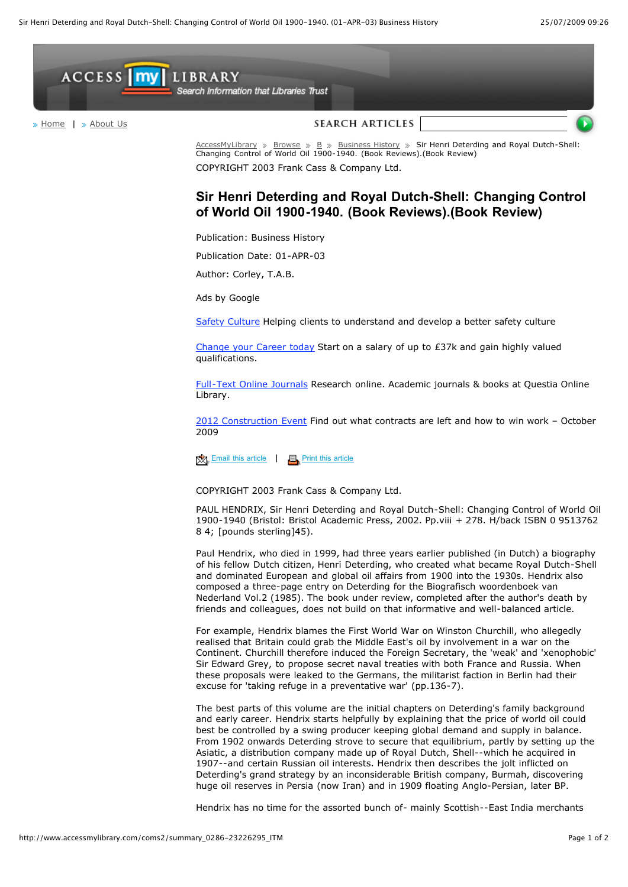

Changing Control of World Oil 1900-1940. (Book Reviews).(Book Review) COPYRIGHT 2003 Frank Cass & Company Ltd.

## **Sir Henri Deterding and Royal Dutch-Shell: Changing Control of World Oil 1900-1940. (Book Reviews).(Book Review)**

Publication: Business History

Publication Date: 01-APR-03

Author: Corley, T.A.B.

[Ads by Google](http://services.google.com/feedback/abg?url=http://www.accessmylibrary.com/coms2/summary_0286-23226295_ITM&hl=en&client=ca-pub-5318756859004963&adU=www.hsas.org.uk&adT=Safety+Culture&adU=www.Career-in-IT.co.uk&adT=Change+your+Career+today&adU=www.Questia.com/Journals&adT=Full-Text+Online+Journals&adU=www.emapconferences.co.uk&adT=2012+Construction+Event&done=1)

[Safety Culture](http://googleads.g.doubleclick.net/aclk?sa=l&ai=BfhbHY8FqSpmjEYHm-AaG9tiZA52tlIcBqc357QrAjbcBwLlVEAEYASDOspIDKAQ4AFCs4ZHCAmC7lr2D0AqyARd3d3cuYWNjZXNzbXlsaWJyYXJ5LmNvbcgBAdoBPmh0dHA6Ly93d3cuYWNjZXNzbXlsaWJyYXJ5LmNvbS9jb21zMi9zdW1tYXJ5XzAyODYtMjMyMjYyOTVfSVRNgAIBqQJfRqONq6K7PsgC27CIC6gDAegDWegDFugD6QH1AwAAAAQ&num=1&sig=AGiWqtzZxmCsEp4JyMXUsfRt2kslFyvJlA&client=ca-pub-5318756859004963&adurl=http://www.hsas.org.uk/health_and_safety/safety_culture.html) Helping clients to understand and develop a better safety culture

[Change your Career today](http://googleads.g.doubleclick.net/aclk?sa=l&ai=BOQcgY8FqSpmjEYHm-AaG9tiZA6X9-4IBweT33AnAjbcBgK5EEAIYAiDOspIDKAQ4AFCauLvVAWC7lr2D0AqgAd-pyP4DsgEXd3d3LmFjY2Vzc215bGlicmFyeS5jb23IAQHaAT5odHRwOi8vd3d3LmFjY2Vzc215bGlicmFyeS5jb20vY29tczIvc3VtbWFyeV8wMjg2LTIzMjI2Mjk1X0lUTakCX0ajjauiuz6oAwHoA1noAxboA-kB9QMAAAAE&num=2&sig=AGiWqtxt9G_xH7cC8Fvfht7D5COBEPH3yQ&client=ca-pub-5318756859004963&adurl=http://2.xg4ken.com/media/redir.php%3Fprof%3D541%26camp%3D5637%26affcode%3Dkw95943%26cid%3D2508083839%26networkType%3Dcontent%26url%5B%5D%3Dhttp%253A%252F%252Fad.doubleclick.net%252Fclk%253B215074656%253B34160239%253Bd%253Fhttp%253A%252F%252Fwww.career-in-it.co.uk) Start on a salary of up to £37k and gain highly valued qualifications.

[Full-Text Online Journals](http://googleads.g.doubleclick.net/aclk?sa=l&ai=BMAp9Y8FqSpmjEYHm-AaG9tiZA7DN9XKG-J78BcL875QHkKEPEAMYAyDOspIDKAQ4AFCdy6_XBWC7lr2D0AqgAf7X0_oDsgEXd3d3LmFjY2Vzc215bGlicmFyeS5jb23IAQHaAT5odHRwOi8vd3d3LmFjY2Vzc215bGlicmFyeS5jb20vY29tczIvc3VtbWFyeV8wMjg2LTIzMjI2Mjk1X0lUTcACAcgCvLWMCagDAegDWegDFugD6QH1AwAAAAQ&num=3&sig=AGiWqtyoIt5WDv8edim1dnDMqRa7fzq-bg&client=ca-pub-5318756859004963&adurl=http://www.questia.com/CM.qst%3FD%3Dss1%26CRID%3Djournals%26KEY%3Daccessmylibrary) Research online. Academic journals & books at Questia Online Library.

[2012 Construction Event](http://googleads.g.doubleclick.net/aclk?sa=l&ai=BWOhPY8FqSpmjEYHm-AaG9tiZA-7K6qgBlPnpqw3AjbcBwMApEAQYBCDOspIDKAQ4AFDD4Y79_v____8BYLuWvYPQCqAB3Pue6wOyARd3d3cuYWNjZXNzbXlsaWJyYXJ5LmNvbcgBAdoBPmh0dHA6Ly93d3cuYWNjZXNzbXlsaWJyYXJ5LmNvbS9jb21zMi9zdW1tYXJ5XzAyODYtMjMyMjYyOTVfSVRNqQJfRqONq6K7PsgC1MOgDKgDAegDWegDFugD6QH1AwAAAAQ&num=4&sig=AGiWqtwuBu5rk2EewnyKep57QeNszZVDEg&client=ca-pub-5318756859004963&adurl=https://www.emapconferences.co.uk/gamesbriefing09) Find out what contracts are left and how to win work – October 2009

 $\frac{1}{2}$  [Email this article](javascript:emailArticle())  $\frac{1}{2}$  [Print this article](javascript:makeRemote()

COPYRIGHT 2003 Frank Cass & Company Ltd.

PAUL HENDRIX, Sir Henri Deterding and Royal Dutch-Shell: Changing Control of World Oil 1900-1940 (Bristol: Bristol Academic Press, 2002. Pp.viii + 278. H/back ISBN 0 9513762 8 4; [pounds sterling]45).

Paul Hendrix, who died in 1999, had three years earlier published (in Dutch) a biography of his fellow Dutch citizen, Henri Deterding, who created what became Royal Dutch-Shell and dominated European and global oil affairs from 1900 into the 1930s. Hendrix also composed a three-page entry on Deterding for the Biografisch woordenboek van Nederland Vol.2 (1985). The book under review, completed after the author's death by friends and colleagues, does not build on that informative and well-balanced article.

For example, Hendrix blames the First World War on Winston Churchill, who allegedly realised that Britain could grab the Middle East's oil by involvement in a war on the Continent. Churchill therefore induced the Foreign Secretary, the 'weak' and 'xenophobic' Sir Edward Grey, to propose secret naval treaties with both France and Russia. When these proposals were leaked to the Germans, the militarist faction in Berlin had their excuse for 'taking refuge in a preventative war' (pp.136-7).

The best parts of this volume are the initial chapters on Deterding's family background and early career. Hendrix starts helpfully by explaining that the price of world oil could best be controlled by a swing producer keeping global demand and supply in balance. From 1902 onwards Deterding strove to secure that equilibrium, partly by setting up the Asiatic, a distribution company made up of Royal Dutch, Shell--which he acquired in 1907--and certain Russian oil interests. Hendrix then describes the jolt inflicted on Deterding's grand strategy by an inconsiderable British company, Burmah, discovering huge oil reserves in Persia (now Iran) and in 1909 floating Anglo-Persian, later BP.

Hendrix has no time for the assorted bunch of- mainly Scottish--East India merchants